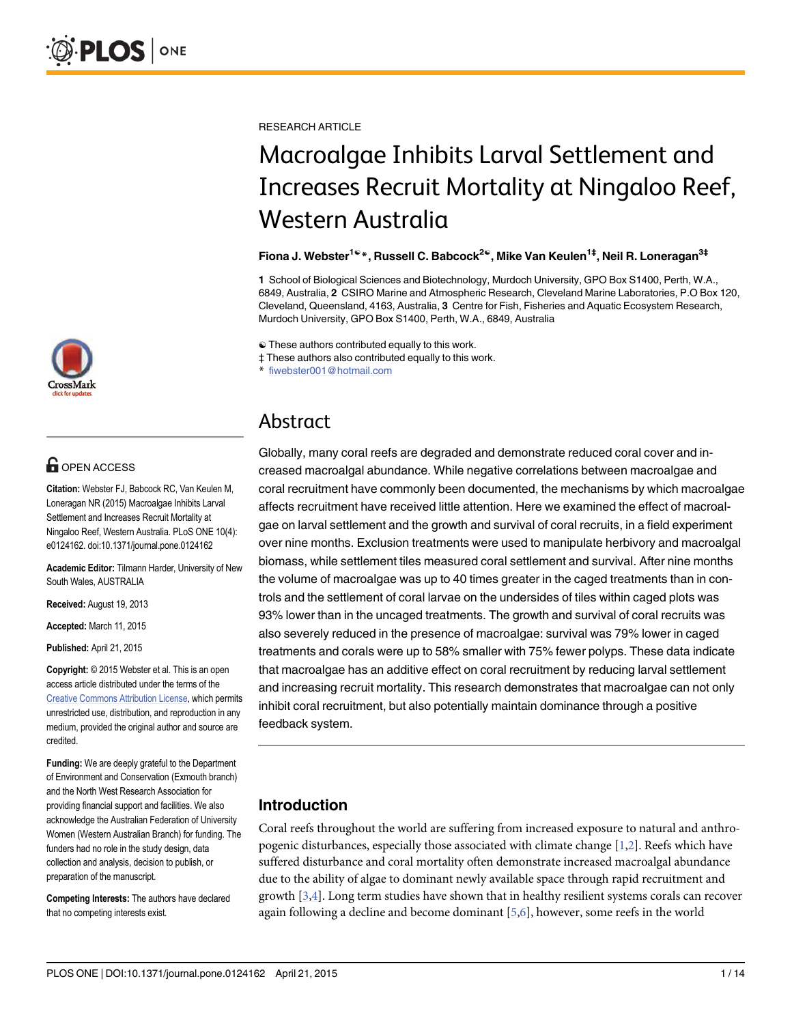

# **OPEN ACCESS**

Citation: Webster FJ, Babcock RC, Van Keulen M, Loneragan NR (2015) Macroalgae Inhibits Larval Settlement and Increases Recruit Mortality at Ningaloo Reef, Western Australia. PLoS ONE 10(4): e0124162. doi:10.1371/journal.pone.0124162

Academic Editor: Tilmann Harder, University of New South Wales, AUSTRALIA

Received: August 19, 2013

Accepted: March 11, 2015

Published: April 21, 2015

Copyright: © 2015 Webster et al. This is an open access article distributed under the terms of the [Creative Commons Attribution License,](http://creativecommons.org/licenses/by/4.0/) which permits unrestricted use, distribution, and reproduction in any medium, provided the original author and source are credited.

Funding: We are deeply grateful to the Department of Environment and Conservation (Exmouth branch) and the North West Research Association for providing financial support and facilities. We also acknowledge the Australian Federation of University Women (Western Australian Branch) for funding. The funders had no role in the study design, data collection and analysis, decision to publish, or preparation of the manuscript.

Competing Interests: The authors have declared that no competing interests exist.

<span id="page-0-0"></span>RESEARCH ARTICLE

# Macroalgae Inhibits Larval Settlement and Increases Recruit Mortality at Ningaloo Reef, Western Australia

#### Fiona J. Webster<sup>1ଢ</sup>\*, Russell C. Babcock<sup>2ଢ</sup>, Mike Van Keulen<sup>1‡</sup>, Neil R. Loneragan<sup>3‡</sup>

1 School of Biological Sciences and Biotechnology, Murdoch University, GPO Box S1400, Perth, W.A., 6849, Australia, 2 CSIRO Marine and Atmospheric Research, Cleveland Marine Laboratories, P.O Box 120, Cleveland, Queensland, 4163, Australia, 3 Centre for Fish, Fisheries and Aquatic Ecosystem Research, Murdoch University, GPO Box S1400, Perth, W.A., 6849, Australia

☯ These authors contributed equally to this work.

‡ These authors also contributed equally to this work.

fiwebster001@hotmail.com

# Abstract

Globally, many coral reefs are degraded and demonstrate reduced coral cover and increased macroalgal abundance. While negative correlations between macroalgae and coral recruitment have commonly been documented, the mechanisms by which macroalgae affects recruitment have received little attention. Here we examined the effect of macroalgae on larval settlement and the growth and survival of coral recruits, in a field experiment over nine months. Exclusion treatments were used to manipulate herbivory and macroalgal biomass, while settlement tiles measured coral settlement and survival. After nine months the volume of macroalgae was up to 40 times greater in the caged treatments than in controls and the settlement of coral larvae on the undersides of tiles within caged plots was 93% lower than in the uncaged treatments. The growth and survival of coral recruits was also severely reduced in the presence of macroalgae: survival was 79% lower in caged treatments and corals were up to 58% smaller with 75% fewer polyps. These data indicate that macroalgae has an additive effect on coral recruitment by reducing larval settlement and increasing recruit mortality. This research demonstrates that macroalgae can not only inhibit coral recruitment, but also potentially maintain dominance through a positive feedback system.

# Introduction

Coral reefs throughout the world are suffering from increased exposure to natural and anthropogenic disturbances, especially those associated with climate change  $[1,2]$  $[1,2]$  $[1,2]$  $[1,2]$  $[1,2]$ . Reefs which have suffered disturbance and coral mortality often demonstrate increased macroalgal abundance due to the ability of algae to dominant newly available space through rapid recruitment and growth [\[3,4\]](#page-11-0). Long term studies have shown that in healthy resilient systems corals can recover again following a decline and become dominant  $[5,6]$ , however, some reefs in the world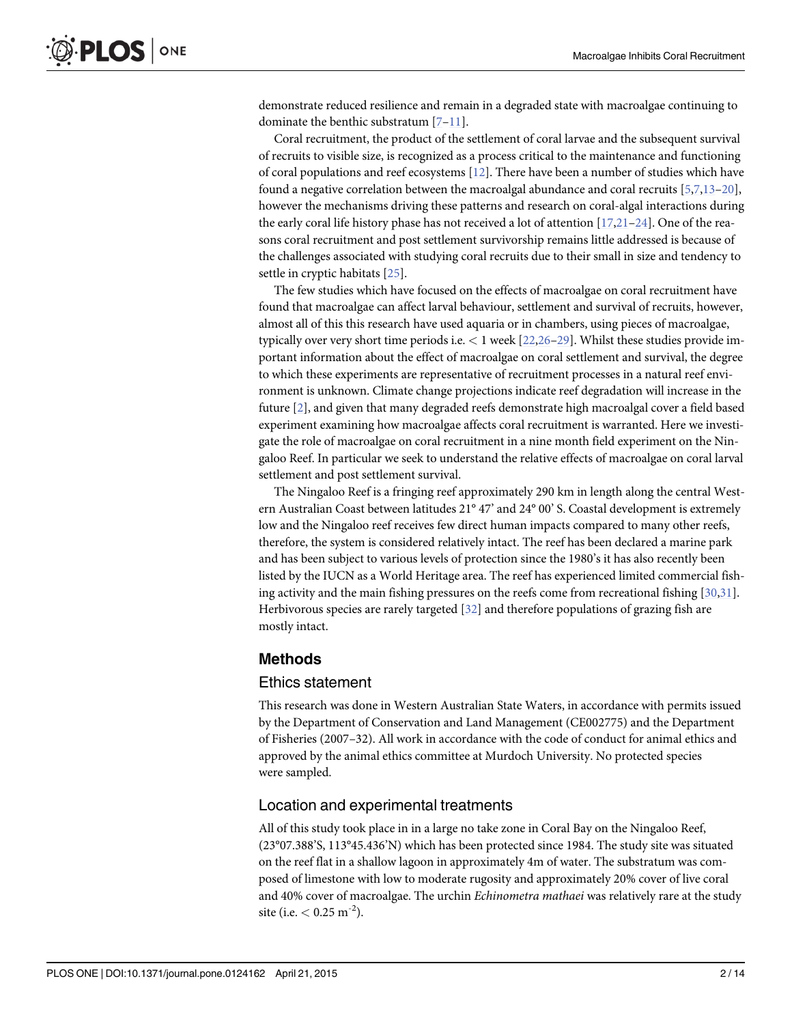<span id="page-1-0"></span>demonstrate reduced resilience and remain in a degraded state with macroalgae continuing to dominate the benthic substratum [\[7](#page-11-0)–[11\]](#page-11-0).

Coral recruitment, the product of the settlement of coral larvae and the subsequent survival of recruits to visible size, is recognized as a process critical to the maintenance and functioning of coral populations and reef ecosystems [[12](#page-11-0)]. There have been a number of studies which have found a negative correlation between the macroalgal abundance and coral recruits  $[5,7,13-20]$  $[5,7,13-20]$  $[5,7,13-20]$  $[5,7,13-20]$ , however the mechanisms driving these patterns and research on coral-algal interactions during the early coral life history phase has not received a lot of attention [[17](#page-11-0),[21](#page-11-0)–[24\]](#page-12-0). One of the reasons coral recruitment and post settlement survivorship remains little addressed is because of the challenges associated with studying coral recruits due to their small in size and tendency to settle in cryptic habitats [[25](#page-12-0)].

The few studies which have focused on the effects of macroalgae on coral recruitment have found that macroalgae can affect larval behaviour, settlement and survival of recruits, however, almost all of this this research have used aquaria or in chambers, using pieces of macroalgae, typically over very short time periods i.e. < 1 week [\[22](#page-11-0)[,26](#page-12-0)–[29](#page-12-0)]. Whilst these studies provide important information about the effect of macroalgae on coral settlement and survival, the degree to which these experiments are representative of recruitment processes in a natural reef environment is unknown. Climate change projections indicate reef degradation will increase in the future [[2\]](#page-11-0), and given that many degraded reefs demonstrate high macroalgal cover a field based experiment examining how macroalgae affects coral recruitment is warranted. Here we investigate the role of macroalgae on coral recruitment in a nine month field experiment on the Ningaloo Reef. In particular we seek to understand the relative effects of macroalgae on coral larval settlement and post settlement survival.

The Ningaloo Reef is a fringing reef approximately 290 km in length along the central Western Australian Coast between latitudes 21° 47' and 24° 00' S. Coastal development is extremely low and the Ningaloo reef receives few direct human impacts compared to many other reefs, therefore, the system is considered relatively intact. The reef has been declared a marine park and has been subject to various levels of protection since the 1980's it has also recently been listed by the IUCN as a World Heritage area. The reef has experienced limited commercial fishing activity and the main fishing pressures on the reefs come from recreational fishing [[30,31](#page-12-0)]. Herbivorous species are rarely targeted [[32](#page-12-0)] and therefore populations of grazing fish are mostly intact.

## Methods

## Ethics statement

This research was done in Western Australian State Waters, in accordance with permits issued by the Department of Conservation and Land Management (CE002775) and the Department of Fisheries (2007–32). All work in accordance with the code of conduct for animal ethics and approved by the animal ethics committee at Murdoch University. No protected species were sampled.

## Location and experimental treatments

All of this study took place in in a large no take zone in Coral Bay on the Ningaloo Reef, (23°07.388'S, 113°45.436'N) which has been protected since 1984. The study site was situated on the reef flat in a shallow lagoon in approximately 4m of water. The substratum was composed of limestone with low to moderate rugosity and approximately 20% cover of live coral and 40% cover of macroalgae. The urchin *Echinometra mathaei* was relatively rare at the study site (i.e.  $< 0.25$  m<sup>-2</sup>).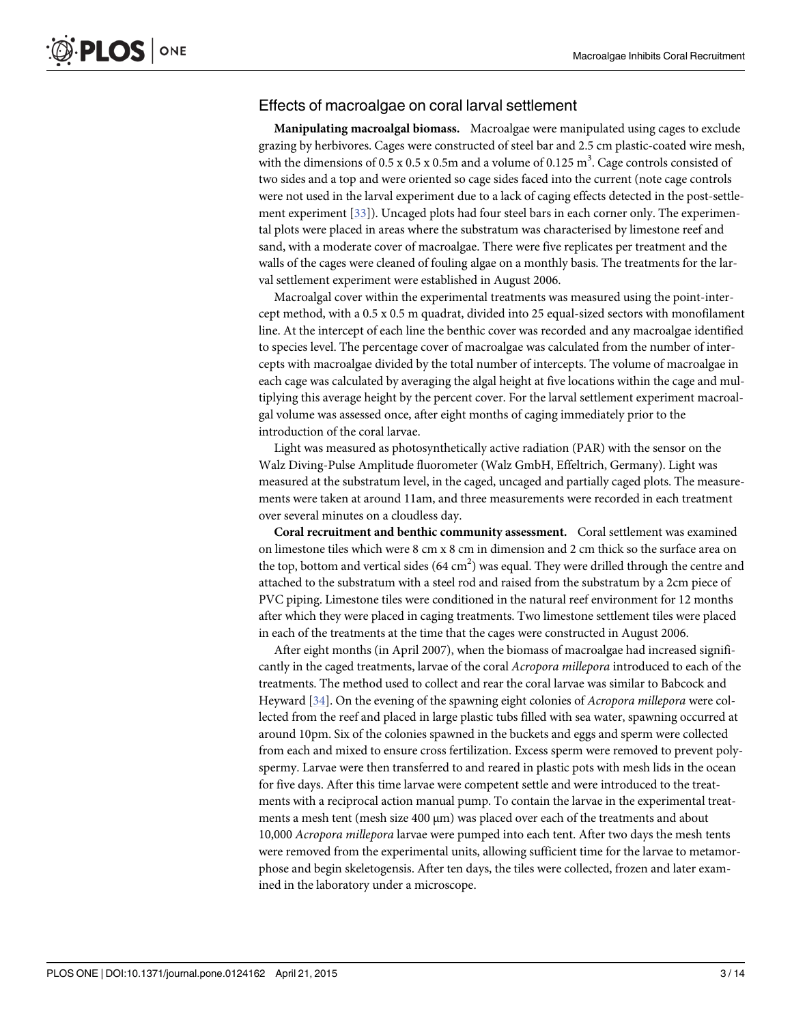## <span id="page-2-0"></span>Effects of macroalgae on coral larval settlement

Manipulating macroalgal biomass. Macroalgae were manipulated using cages to exclude grazing by herbivores. Cages were constructed of steel bar and 2.5 cm plastic-coated wire mesh, with the dimensions of 0.5 x 0.5 x 0.5m and a volume of 0.125  $\text{m}^3$ . Cage controls consisted of two sides and a top and were oriented so cage sides faced into the current (note cage controls were not used in the larval experiment due to a lack of caging effects detected in the post-settlement experiment [[33](#page-12-0)]). Uncaged plots had four steel bars in each corner only. The experimental plots were placed in areas where the substratum was characterised by limestone reef and sand, with a moderate cover of macroalgae. There were five replicates per treatment and the walls of the cages were cleaned of fouling algae on a monthly basis. The treatments for the larval settlement experiment were established in August 2006.

Macroalgal cover within the experimental treatments was measured using the point-intercept method, with a 0.5 x 0.5 m quadrat, divided into 25 equal-sized sectors with monofilament line. At the intercept of each line the benthic cover was recorded and any macroalgae identified to species level. The percentage cover of macroalgae was calculated from the number of intercepts with macroalgae divided by the total number of intercepts. The volume of macroalgae in each cage was calculated by averaging the algal height at five locations within the cage and multiplying this average height by the percent cover. For the larval settlement experiment macroalgal volume was assessed once, after eight months of caging immediately prior to the introduction of the coral larvae.

Light was measured as photosynthetically active radiation (PAR) with the sensor on the Walz Diving-Pulse Amplitude fluorometer (Walz GmbH, Effeltrich, Germany). Light was measured at the substratum level, in the caged, uncaged and partially caged plots. The measurements were taken at around 11am, and three measurements were recorded in each treatment over several minutes on a cloudless day.

Coral recruitment and benthic community assessment. Coral settlement was examined on limestone tiles which were 8 cm x 8 cm in dimension and 2 cm thick so the surface area on the top, bottom and vertical sides  $(64 \text{ cm}^2)$  was equal. They were drilled through the centre and attached to the substratum with a steel rod and raised from the substratum by a 2cm piece of PVC piping. Limestone tiles were conditioned in the natural reef environment for 12 months after which they were placed in caging treatments. Two limestone settlement tiles were placed in each of the treatments at the time that the cages were constructed in August 2006.

After eight months (in April 2007), when the biomass of macroalgae had increased significantly in the caged treatments, larvae of the coral Acropora millepora introduced to each of the treatments. The method used to collect and rear the coral larvae was similar to Babcock and Heyward [[34\]](#page-12-0). On the evening of the spawning eight colonies of Acropora millepora were collected from the reef and placed in large plastic tubs filled with sea water, spawning occurred at around 10pm. Six of the colonies spawned in the buckets and eggs and sperm were collected from each and mixed to ensure cross fertilization. Excess sperm were removed to prevent polyspermy. Larvae were then transferred to and reared in plastic pots with mesh lids in the ocean for five days. After this time larvae were competent settle and were introduced to the treatments with a reciprocal action manual pump. To contain the larvae in the experimental treatments a mesh tent (mesh size 400 μm) was placed over each of the treatments and about 10,000 Acropora millepora larvae were pumped into each tent. After two days the mesh tents were removed from the experimental units, allowing sufficient time for the larvae to metamorphose and begin skeletogensis. After ten days, the tiles were collected, frozen and later examined in the laboratory under a microscope.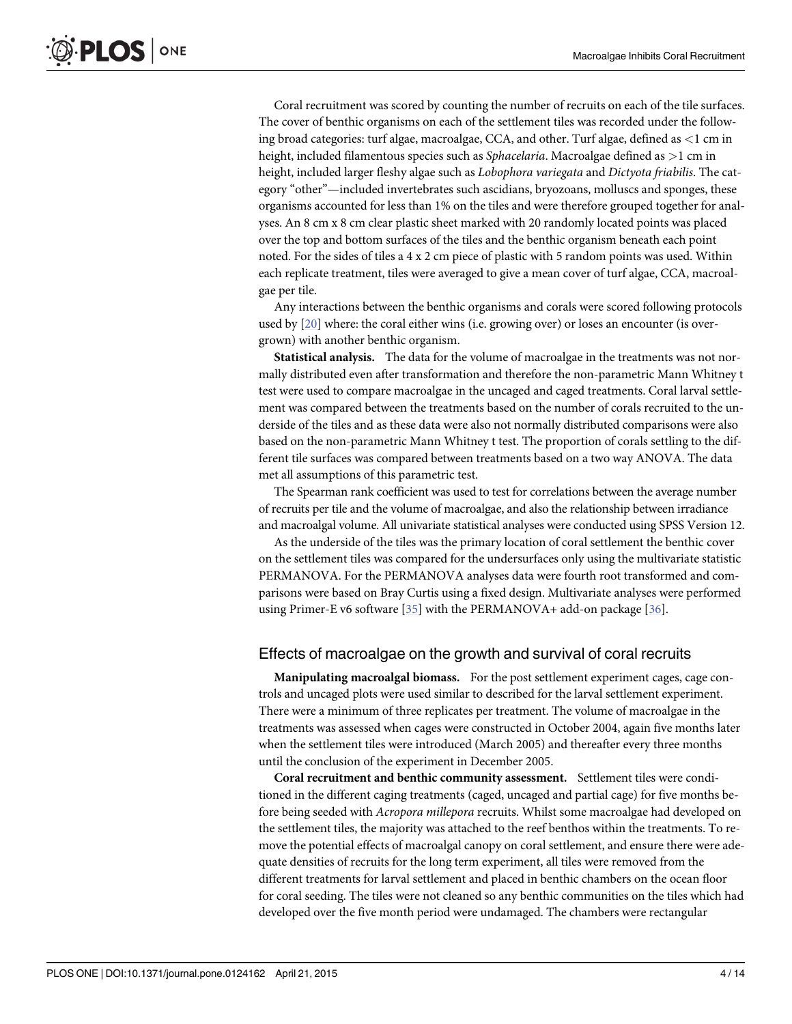<span id="page-3-0"></span>Coral recruitment was scored by counting the number of recruits on each of the tile surfaces. The cover of benthic organisms on each of the settlement tiles was recorded under the following broad categories: turf algae, macroalgae, CCA, and other. Turf algae, defined as <1 cm in height, included filamentous species such as *Sphacelaria*. Macroalgae defined as >1 cm in height, included larger fleshy algae such as Lobophora variegata and Dictyota friabilis. The category "other"—included invertebrates such ascidians, bryozoans, molluscs and sponges, these organisms accounted for less than 1% on the tiles and were therefore grouped together for analyses. An 8 cm x 8 cm clear plastic sheet marked with 20 randomly located points was placed over the top and bottom surfaces of the tiles and the benthic organism beneath each point noted. For the sides of tiles a 4 x 2 cm piece of plastic with 5 random points was used. Within each replicate treatment, tiles were averaged to give a mean cover of turf algae, CCA, macroalgae per tile.

Any interactions between the benthic organisms and corals were scored following protocols used by [[20](#page-11-0)] where: the coral either wins (i.e. growing over) or loses an encounter (is overgrown) with another benthic organism.

Statistical analysis. The data for the volume of macroalgae in the treatments was not normally distributed even after transformation and therefore the non-parametric Mann Whitney t test were used to compare macroalgae in the uncaged and caged treatments. Coral larval settlement was compared between the treatments based on the number of corals recruited to the underside of the tiles and as these data were also not normally distributed comparisons were also based on the non-parametric Mann Whitney t test. The proportion of corals settling to the different tile surfaces was compared between treatments based on a two way ANOVA. The data met all assumptions of this parametric test.

The Spearman rank coefficient was used to test for correlations between the average number of recruits per tile and the volume of macroalgae, and also the relationship between irradiance and macroalgal volume. All univariate statistical analyses were conducted using SPSS Version 12.

As the underside of the tiles was the primary location of coral settlement the benthic cover on the settlement tiles was compared for the undersurfaces only using the multivariate statistic PERMANOVA. For the PERMANOVA analyses data were fourth root transformed and comparisons were based on Bray Curtis using a fixed design. Multivariate analyses were performed using Primer-E v6 software [[35](#page-12-0)] with the PERMANOVA+ add-on package [[36](#page-12-0)].

#### Effects of macroalgae on the growth and survival of coral recruits

Manipulating macroalgal biomass. For the post settlement experiment cages, cage controls and uncaged plots were used similar to described for the larval settlement experiment. There were a minimum of three replicates per treatment. The volume of macroalgae in the treatments was assessed when cages were constructed in October 2004, again five months later when the settlement tiles were introduced (March 2005) and thereafter every three months until the conclusion of the experiment in December 2005.

Coral recruitment and benthic community assessment. Settlement tiles were conditioned in the different caging treatments (caged, uncaged and partial cage) for five months before being seeded with Acropora millepora recruits. Whilst some macroalgae had developed on the settlement tiles, the majority was attached to the reef benthos within the treatments. To remove the potential effects of macroalgal canopy on coral settlement, and ensure there were adequate densities of recruits for the long term experiment, all tiles were removed from the different treatments for larval settlement and placed in benthic chambers on the ocean floor for coral seeding. The tiles were not cleaned so any benthic communities on the tiles which had developed over the five month period were undamaged. The chambers were rectangular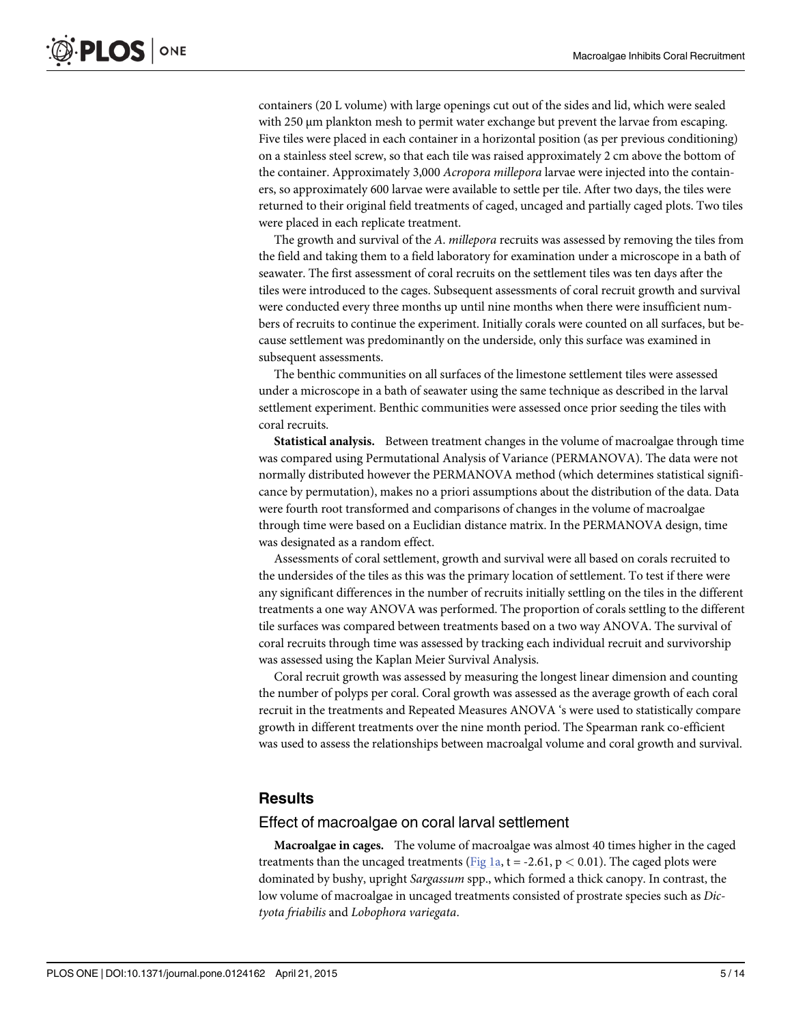<span id="page-4-0"></span>containers (20 L volume) with large openings cut out of the sides and lid, which were sealed with 250 μm plankton mesh to permit water exchange but prevent the larvae from escaping. Five tiles were placed in each container in a horizontal position (as per previous conditioning) on a stainless steel screw, so that each tile was raised approximately 2 cm above the bottom of the container. Approximately 3,000 Acropora millepora larvae were injected into the containers, so approximately 600 larvae were available to settle per tile. After two days, the tiles were returned to their original field treatments of caged, uncaged and partially caged plots. Two tiles were placed in each replicate treatment.

The growth and survival of the A. millepora recruits was assessed by removing the tiles from the field and taking them to a field laboratory for examination under a microscope in a bath of seawater. The first assessment of coral recruits on the settlement tiles was ten days after the tiles were introduced to the cages. Subsequent assessments of coral recruit growth and survival were conducted every three months up until nine months when there were insufficient numbers of recruits to continue the experiment. Initially corals were counted on all surfaces, but because settlement was predominantly on the underside, only this surface was examined in subsequent assessments.

The benthic communities on all surfaces of the limestone settlement tiles were assessed under a microscope in a bath of seawater using the same technique as described in the larval settlement experiment. Benthic communities were assessed once prior seeding the tiles with coral recruits.

Statistical analysis. Between treatment changes in the volume of macroalgae through time was compared using Permutational Analysis of Variance (PERMANOVA). The data were not normally distributed however the PERMANOVA method (which determines statistical significance by permutation), makes no a priori assumptions about the distribution of the data. Data were fourth root transformed and comparisons of changes in the volume of macroalgae through time were based on a Euclidian distance matrix. In the PERMANOVA design, time was designated as a random effect.

Assessments of coral settlement, growth and survival were all based on corals recruited to the undersides of the tiles as this was the primary location of settlement. To test if there were any significant differences in the number of recruits initially settling on the tiles in the different treatments a one way ANOVA was performed. The proportion of corals settling to the different tile surfaces was compared between treatments based on a two way ANOVA. The survival of coral recruits through time was assessed by tracking each individual recruit and survivorship was assessed using the Kaplan Meier Survival Analysis.

Coral recruit growth was assessed by measuring the longest linear dimension and counting the number of polyps per coral. Coral growth was assessed as the average growth of each coral recruit in the treatments and Repeated Measures ANOVA 's were used to statistically compare growth in different treatments over the nine month period. The Spearman rank co-efficient was used to assess the relationships between macroalgal volume and coral growth and survival.

# **Results**

#### Effect of macroalgae on coral larval settlement

Macroalgae in cages. The volume of macroalgae was almost 40 times higher in the caged treatments than the uncaged treatments ([Fig 1a](#page-5-0), t = -2.61,  $p < 0.01$ ). The caged plots were dominated by bushy, upright Sargassum spp., which formed a thick canopy. In contrast, the low volume of macroalgae in uncaged treatments consisted of prostrate species such as Dictyota friabilis and Lobophora variegata.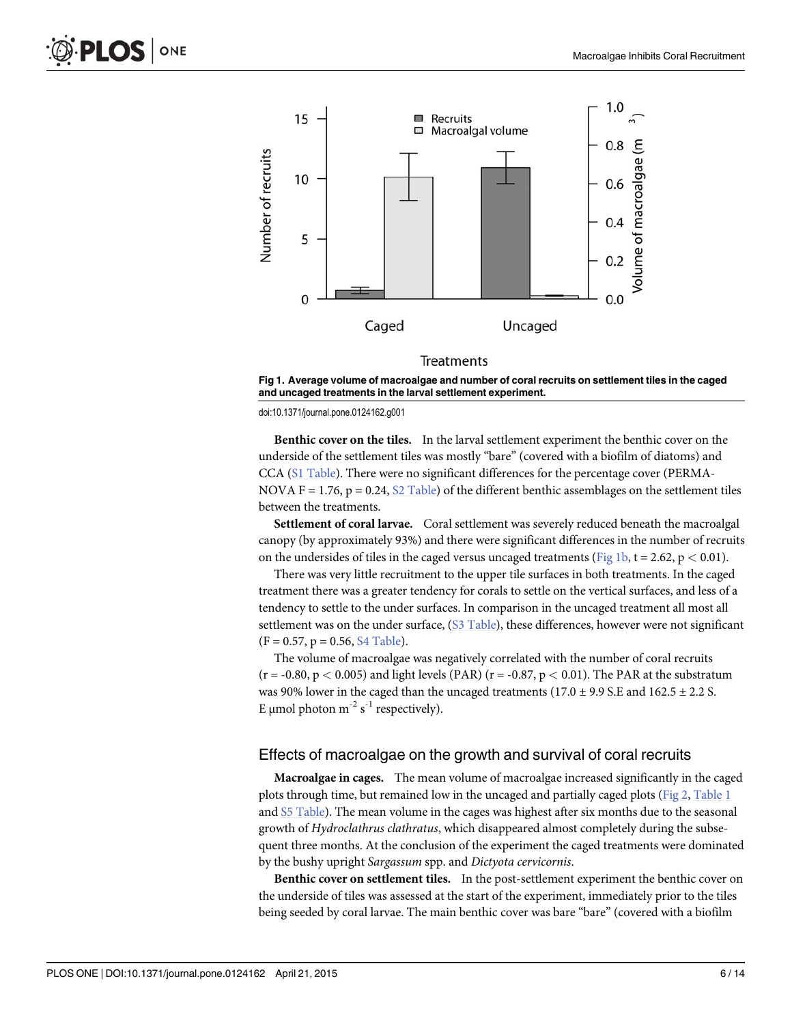<span id="page-5-0"></span>

#### Treatments

[Fig 1. A](#page-4-0)verage volume of macroalgae and number of coral recruits on settlement tiles in the caged and uncaged treatments in the larval settlement experiment.

doi:10.1371/journal.pone.0124162.g001

Benthic cover on the tiles. In the larval settlement experiment the benthic cover on the underside of the settlement tiles was mostly "bare" (covered with a biofilm of diatoms) and CCA ([S1 Table\)](#page-10-0). There were no significant differences for the percentage cover (PERMA-NOVA F = 1.76, p = 0.24,  $S2$  Table) of the different benthic assemblages on the settlement tiles between the treatments.

Settlement of coral larvae. Coral settlement was severely reduced beneath the macroalgal canopy (by approximately 93%) and there were significant differences in the number of recruits on the undersides of tiles in the caged versus uncaged treatments (Fig 1b,  $t = 2.62$ ,  $p < 0.01$ ).

There was very little recruitment to the upper tile surfaces in both treatments. In the caged treatment there was a greater tendency for corals to settle on the vertical surfaces, and less of a tendency to settle to the under surfaces. In comparison in the uncaged treatment all most all settlement was on the under surface,  $(S3$  Table), these differences, however were not significant  $(F = 0.57, p = 0.56, S4$  Table).

The volume of macroalgae was negatively correlated with the number of coral recruits  $(r = -0.80, p < 0.005)$  and light levels (PAR)  $(r = -0.87, p < 0.01)$ . The PAR at the substratum was 90% lower in the caged than the uncaged treatments  $(17.0 \pm 9.9 \text{ S.E and } 162.5 \pm 2.2 \text{ S.})$ E µmol photon  $m^{-2}$  s<sup>-1</sup> respectively).

#### Effects of macroalgae on the growth and survival of coral recruits

Macroalgae in cages. The mean volume of macroalgae increased significantly in the caged plots through time, but remained low in the uncaged and partially caged plots [\(Fig 2,](#page-6-0) [Table 1](#page-7-0) and [S5 Table](#page-10-0)). The mean volume in the cages was highest after six months due to the seasonal growth of Hydroclathrus clathratus, which disappeared almost completely during the subsequent three months. At the conclusion of the experiment the caged treatments were dominated by the bushy upright Sargassum spp. and Dictyota cervicornis.

Benthic cover on settlement tiles. In the post-settlement experiment the benthic cover on the underside of tiles was assessed at the start of the experiment, immediately prior to the tiles being seeded by coral larvae. The main benthic cover was bare "bare" (covered with a biofilm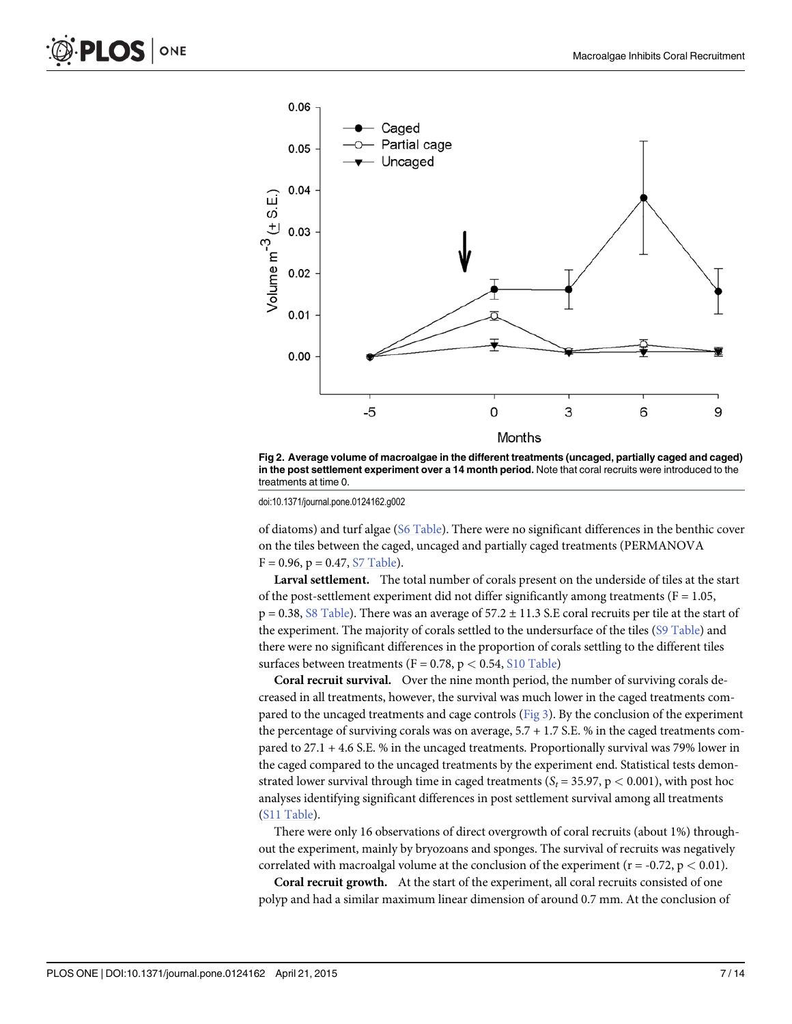<span id="page-6-0"></span>

[Fig 2. A](#page-5-0)verage volume of macroalgae in the different treatments (uncaged, partially caged and caged) in the post settlement experiment over a 14 month period. Note that coral recruits were introduced to the treatments at time 0.

doi:10.1371/journal.pone.0124162.g002

of diatoms) and turf algae ([S6 Table\)](#page-10-0). There were no significant differences in the benthic cover on the tiles between the caged, uncaged and partially caged treatments (PERMANOVA  $F = 0.96$ ,  $p = 0.47$ , [S7 Table\)](#page-10-0).

Larval settlement. The total number of corals present on the underside of tiles at the start of the post-settlement experiment did not differ significantly among treatments ( $F = 1.05$ ,  $p = 0.38$ , [S8 Table](#page-10-0)). There was an average of  $57.2 \pm 11.3$  S.E coral recruits per tile at the start of the experiment. The majority of corals settled to the undersurface of the tiles [\(S9 Table](#page-10-0)) and there were no significant differences in the proportion of corals settling to the different tiles surfaces between treatments ( $F = 0.78$ ,  $p < 0.54$ ,  $S10$  Table)

Coral recruit survival. Over the nine month period, the number of surviving corals decreased in all treatments, however, the survival was much lower in the caged treatments compared to the uncaged treatments and cage controls ([Fig 3](#page-7-0)). By the conclusion of the experiment the percentage of surviving corals was on average, 5.7 + 1.7 S.E. % in the caged treatments compared to 27.1 + 4.6 S.E. % in the uncaged treatments. Proportionally survival was 79% lower in the caged compared to the uncaged treatments by the experiment end. Statistical tests demonstrated lower survival through time in caged treatments ( $S_t = 35.97$ ,  $p < 0.001$ ), with post hoc analyses identifying significant differences in post settlement survival among all treatments [\(S11 Table](#page-10-0)).

There were only 16 observations of direct overgrowth of coral recruits (about 1%) throughout the experiment, mainly by bryozoans and sponges. The survival of recruits was negatively correlated with macroalgal volume at the conclusion of the experiment ( $r = -0.72$ ,  $p < 0.01$ ).

Coral recruit growth. At the start of the experiment, all coral recruits consisted of one polyp and had a similar maximum linear dimension of around 0.7 mm. At the conclusion of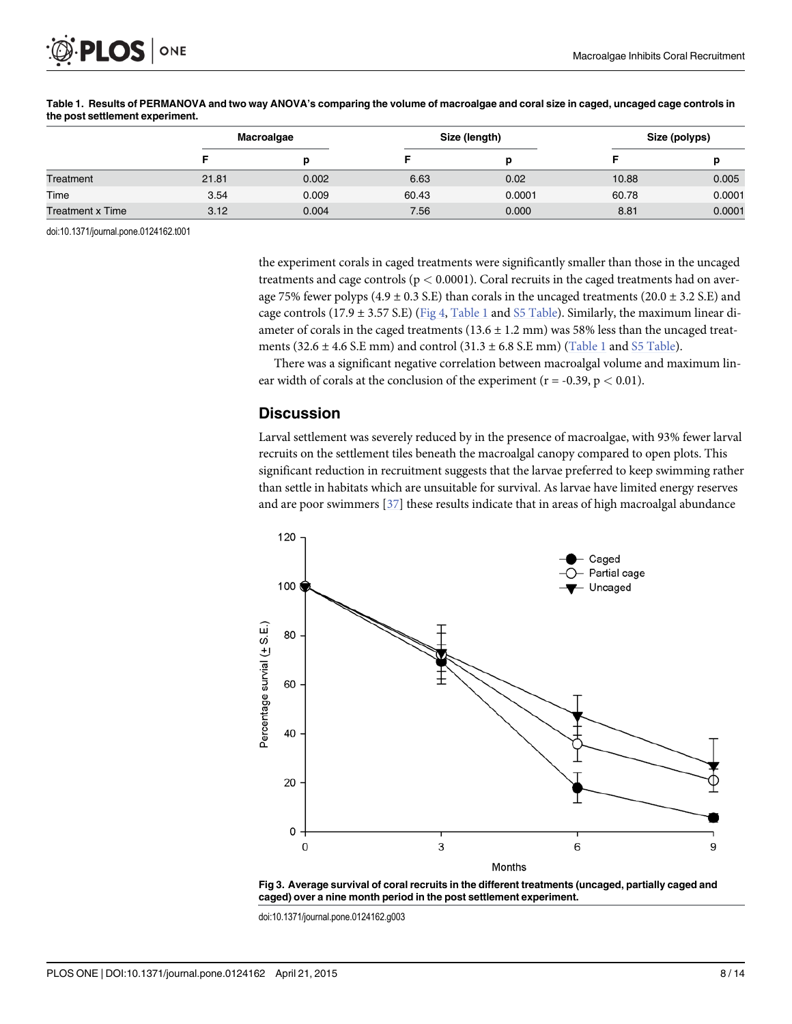<span id="page-7-0"></span>

|                  | Macroalgae |       | Size (length) |        | Size (polyps) |        |
|------------------|------------|-------|---------------|--------|---------------|--------|
|                  |            |       |               |        |               |        |
| Treatment        | 21.81      | 0.002 | 6.63          | 0.02   | 10.88         | 0.005  |
| Time             | 3.54       | 0.009 | 60.43         | 0.0001 | 60.78         | 0.0001 |
| Treatment x Time | 3.12       | 0.004 | 7.56          | 0.000  | 8.81          | 0.0001 |

#### [Table 1.](#page-5-0) Results of PERMANOVA and two way ANOVA's comparing the volume of macroalgae and coral size in caged, uncaged cage controls in the post settlement experiment.

doi:10.1371/journal.pone.0124162.t001

the experiment corals in caged treatments were significantly smaller than those in the uncaged treatments and cage controls ( $p < 0.0001$ ). Coral recruits in the caged treatments had on average 75% fewer polyps (4.9  $\pm$  0.3 S.E) than corals in the uncaged treatments (20.0  $\pm$  3.2 S.E) and cage controls (17.9  $\pm$  3.57 S.E) ([Fig 4](#page-8-0), Table 1 and [S5 Table\)](#page-10-0). Similarly, the maximum linear diameter of corals in the caged treatments  $(13.6 \pm 1.2 \text{ mm})$  was 58% less than the uncaged treatments (32.6  $\pm$  4.6 S.E mm) and control (31.3  $\pm$  6.8 S.E mm) (Table 1 and [S5 Table](#page-10-0)).

There was a significant negative correlation between macroalgal volume and maximum linear width of corals at the conclusion of the experiment ( $r = -0.39$ ,  $p < 0.01$ ).

## **Discussion**

Larval settlement was severely reduced by in the presence of macroalgae, with 93% fewer larval recruits on the settlement tiles beneath the macroalgal canopy compared to open plots. This significant reduction in recruitment suggests that the larvae preferred to keep swimming rather than settle in habitats which are unsuitable for survival. As larvae have limited energy reserves and are poor swimmers [\[37\]](#page-12-0) these results indicate that in areas of high macroalgal abundance



[Fig 3. A](#page-6-0)verage survival of coral recruits in the different treatments (uncaged, partially caged and caged) over a nine month period in the post settlement experiment.

doi:10.1371/journal.pone.0124162.g003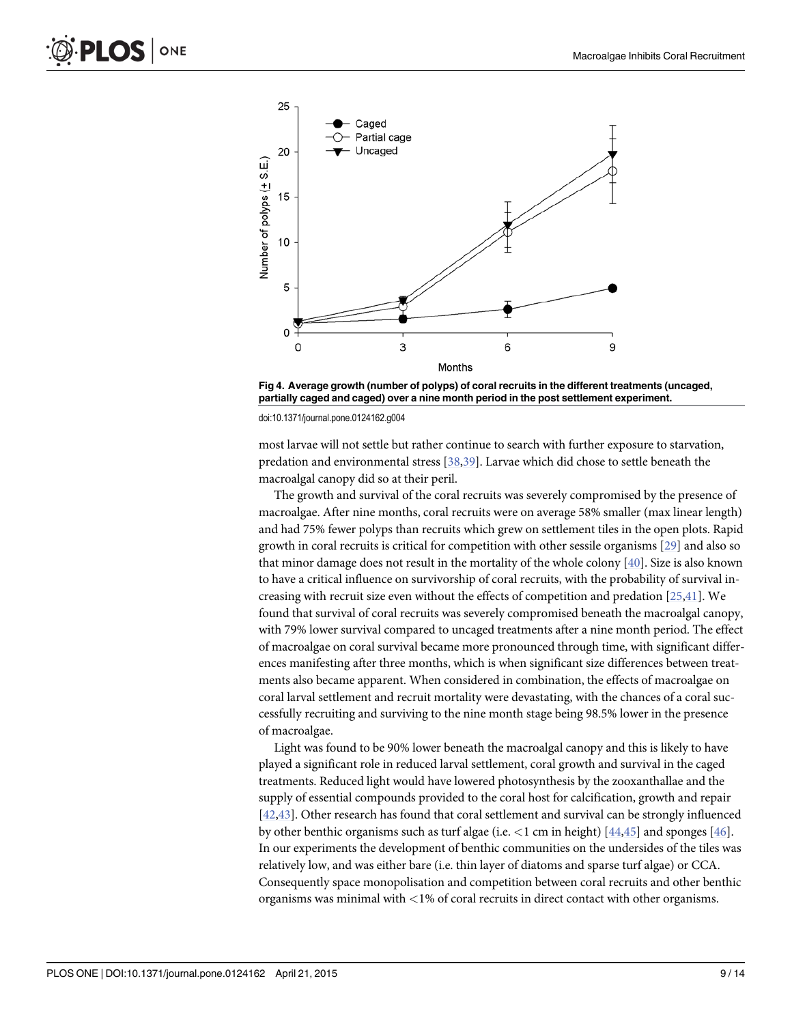<span id="page-8-0"></span>

[Fig 4. A](#page-7-0)verage growth (number of polyps) of coral recruits in the different treatments (uncaged, partially caged and caged) over a nine month period in the post settlement experiment.

doi:10.1371/journal.pone.0124162.g004

most larvae will not settle but rather continue to search with further exposure to starvation, predation and environmental stress [\[38,39\]](#page-12-0). Larvae which did chose to settle beneath the macroalgal canopy did so at their peril.

The growth and survival of the coral recruits was severely compromised by the presence of macroalgae. After nine months, coral recruits were on average 58% smaller (max linear length) and had 75% fewer polyps than recruits which grew on settlement tiles in the open plots. Rapid growth in coral recruits is critical for competition with other sessile organisms [[29](#page-12-0)] and also so that minor damage does not result in the mortality of the whole colony  $[40]$  $[40]$  $[40]$ . Size is also known to have a critical influence on survivorship of coral recruits, with the probability of survival increasing with recruit size even without the effects of competition and predation [\[25,41](#page-12-0)]. We found that survival of coral recruits was severely compromised beneath the macroalgal canopy, with 79% lower survival compared to uncaged treatments after a nine month period. The effect of macroalgae on coral survival became more pronounced through time, with significant differences manifesting after three months, which is when significant size differences between treatments also became apparent. When considered in combination, the effects of macroalgae on coral larval settlement and recruit mortality were devastating, with the chances of a coral successfully recruiting and surviving to the nine month stage being 98.5% lower in the presence of macroalgae.

Light was found to be 90% lower beneath the macroalgal canopy and this is likely to have played a significant role in reduced larval settlement, coral growth and survival in the caged treatments. Reduced light would have lowered photosynthesis by the zooxanthallae and the supply of essential compounds provided to the coral host for calcification, growth and repair [\[42,43\]](#page-12-0). Other research has found that coral settlement and survival can be strongly influenced by other benthic organisms such as turf algae (i.e.  $\lt 1$  cm in height) [ $\frac{44,45}{1}$  $\frac{44,45}{1}$  $\frac{44,45}{1}$  $\frac{44,45}{1}$  $\frac{44,45}{1}$  and sponges [ $\frac{46}{1}$ ]. In our experiments the development of benthic communities on the undersides of the tiles was relatively low, and was either bare (i.e. thin layer of diatoms and sparse turf algae) or CCA. Consequently space monopolisation and competition between coral recruits and other benthic organisms was minimal with <1% of coral recruits in direct contact with other organisms.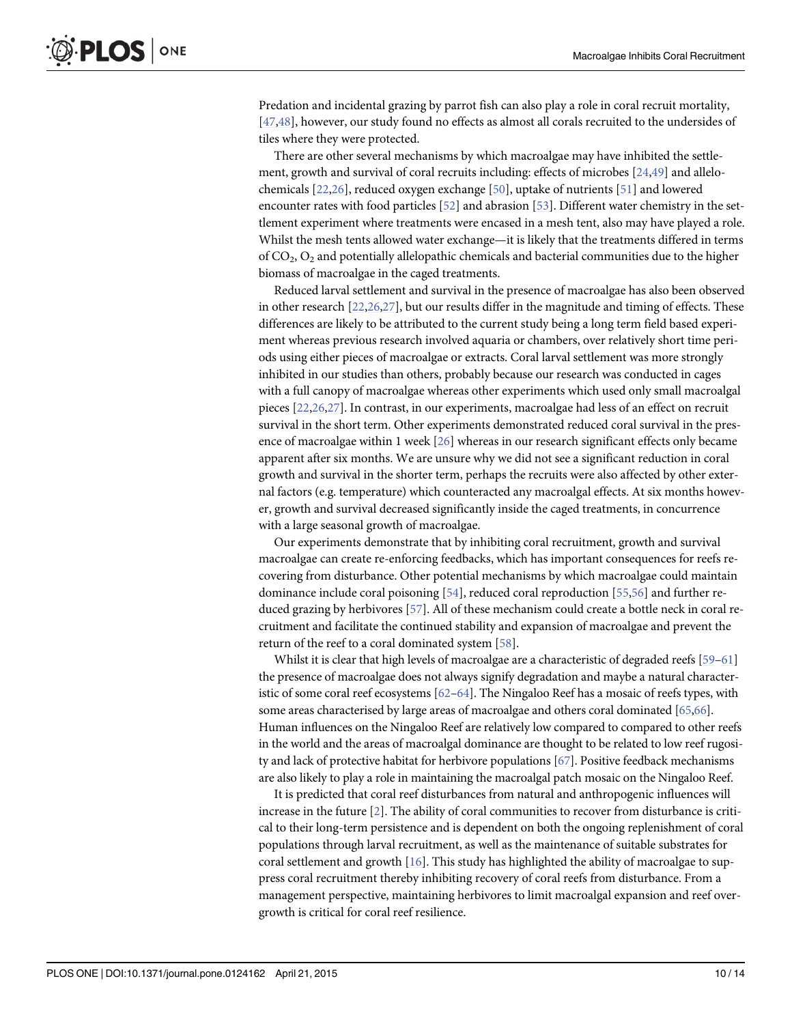<span id="page-9-0"></span>Predation and incidental grazing by parrot fish can also play a role in coral recruit mortality, [\[47,48\]](#page-12-0), however, our study found no effects as almost all corals recruited to the undersides of tiles where they were protected.

There are other several mechanisms by which macroalgae may have inhibited the settlement, growth and survival of coral recruits including: effects of microbes [\[24,49\]](#page-12-0) and allelochemicals [[22](#page-11-0),[26](#page-12-0)], reduced oxygen exchange [\[50\]](#page-13-0), uptake of nutrients [[51](#page-13-0)] and lowered encounter rates with food particles [[52](#page-13-0)] and abrasion [[53\]](#page-13-0). Different water chemistry in the settlement experiment where treatments were encased in a mesh tent, also may have played a role. Whilst the mesh tents allowed water exchange—it is likely that the treatments differed in terms of  $CO<sub>2</sub>, O<sub>2</sub>$  and potentially allelopathic chemicals and bacterial communities due to the higher biomass of macroalgae in the caged treatments.

Reduced larval settlement and survival in the presence of macroalgae has also been observed in other research [\[22](#page-11-0)[,26,27\]](#page-12-0), but our results differ in the magnitude and timing of effects. These differences are likely to be attributed to the current study being a long term field based experiment whereas previous research involved aquaria or chambers, over relatively short time periods using either pieces of macroalgae or extracts. Coral larval settlement was more strongly inhibited in our studies than others, probably because our research was conducted in cages with a full canopy of macroalgae whereas other experiments which used only small macroalgal pieces [[22](#page-11-0)[,26,27\]](#page-12-0). In contrast, in our experiments, macroalgae had less of an effect on recruit survival in the short term. Other experiments demonstrated reduced coral survival in the presence of macroalgae within 1 week  $[26]$  $[26]$  whereas in our research significant effects only became apparent after six months. We are unsure why we did not see a significant reduction in coral growth and survival in the shorter term, perhaps the recruits were also affected by other external factors (e.g. temperature) which counteracted any macroalgal effects. At six months however, growth and survival decreased significantly inside the caged treatments, in concurrence with a large seasonal growth of macroalgae.

Our experiments demonstrate that by inhibiting coral recruitment, growth and survival macroalgae can create re-enforcing feedbacks, which has important consequences for reefs recovering from disturbance. Other potential mechanisms by which macroalgae could maintain dominance include coral poisoning [\[54\]](#page-13-0), reduced coral reproduction [[55,56\]](#page-13-0) and further reduced grazing by herbivores [[57\]](#page-13-0). All of these mechanism could create a bottle neck in coral recruitment and facilitate the continued stability and expansion of macroalgae and prevent the return of the reef to a coral dominated system [\[58\]](#page-13-0).

Whilst it is clear that high levels of macroalgae are a characteristic of degraded reefs [\[59](#page-13-0)-[61](#page-13-0)] the presence of macroalgae does not always signify degradation and maybe a natural characteristic of some coral reef ecosystems  $[62–64]$  $[62–64]$  $[62–64]$  $[62–64]$ . The Ningaloo Reef has a mosaic of reefs types, with some areas characterised by large areas of macroalgae and others coral dominated [\[65,66](#page-13-0)]. Human influences on the Ningaloo Reef are relatively low compared to compared to other reefs in the world and the areas of macroalgal dominance are thought to be related to low reef rugosity and lack of protective habitat for herbivore populations [\[67\]](#page-13-0). Positive feedback mechanisms are also likely to play a role in maintaining the macroalgal patch mosaic on the Ningaloo Reef.

It is predicted that coral reef disturbances from natural and anthropogenic influences will increase in the future [\[2](#page-11-0)]. The ability of coral communities to recover from disturbance is critical to their long-term persistence and is dependent on both the ongoing replenishment of coral populations through larval recruitment, as well as the maintenance of suitable substrates for coral settlement and growth [[16](#page-11-0)]. This study has highlighted the ability of macroalgae to suppress coral recruitment thereby inhibiting recovery of coral reefs from disturbance. From a management perspective, maintaining herbivores to limit macroalgal expansion and reef overgrowth is critical for coral reef resilience.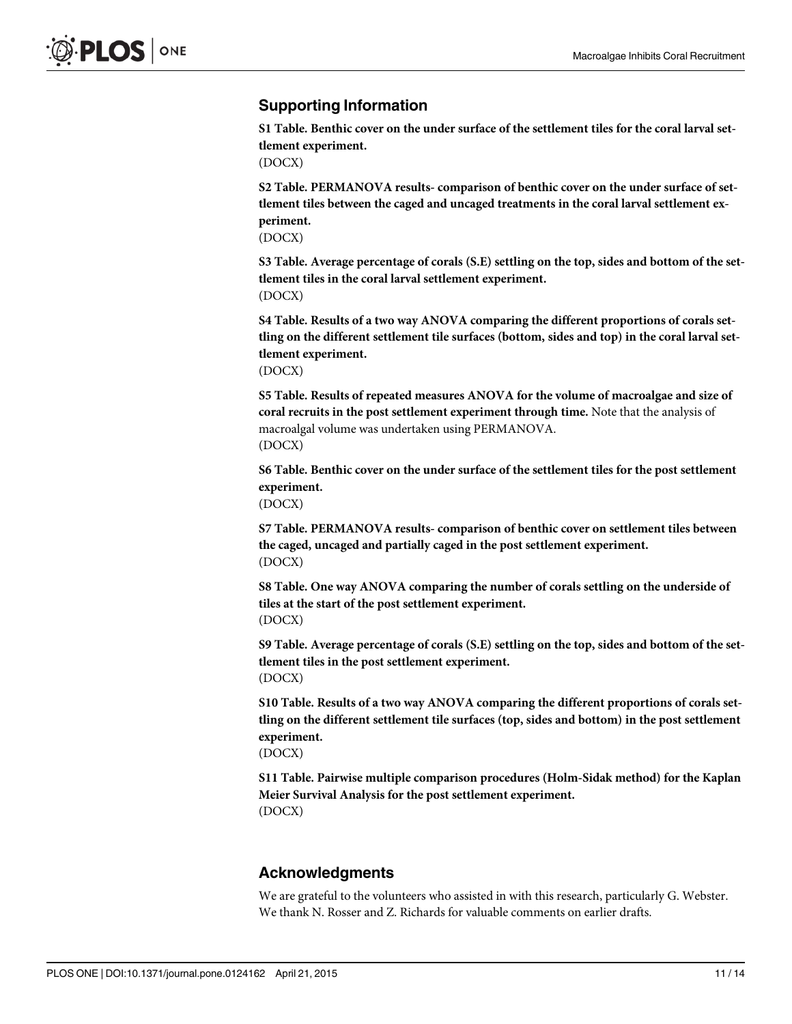# <span id="page-10-0"></span>Supporting Information

[S1 Table](http://www.plosone.org/article/fetchSingleRepresentation.action?uri=info:doi/10.1371/journal.pone.0124162.s001). Benthic cover on the under surface of the settlement tiles for the coral larval settlement experiment.

(DOCX)

[S2 Table](http://www.plosone.org/article/fetchSingleRepresentation.action?uri=info:doi/10.1371/journal.pone.0124162.s002). PERMANOVA results- comparison of benthic cover on the under surface of settlement tiles between the caged and uncaged treatments in the coral larval settlement experiment.

(DOCX)

[S3 Table](http://www.plosone.org/article/fetchSingleRepresentation.action?uri=info:doi/10.1371/journal.pone.0124162.s003). Average percentage of corals (S.E) settling on the top, sides and bottom of the settlement tiles in the coral larval settlement experiment. (DOCX)

[S4 Table](http://www.plosone.org/article/fetchSingleRepresentation.action?uri=info:doi/10.1371/journal.pone.0124162.s004). Results of a two way ANOVA comparing the different proportions of corals settling on the different settlement tile surfaces (bottom, sides and top) in the coral larval settlement experiment.

(DOCX)

[S5 Table](http://www.plosone.org/article/fetchSingleRepresentation.action?uri=info:doi/10.1371/journal.pone.0124162.s005). Results of repeated measures ANOVA for the volume of macroalgae and size of coral recruits in the post settlement experiment through time. Note that the analysis of macroalgal volume was undertaken using PERMANOVA. (DOCX)

[S6 Table](http://www.plosone.org/article/fetchSingleRepresentation.action?uri=info:doi/10.1371/journal.pone.0124162.s006). Benthic cover on the under surface of the settlement tiles for the post settlement experiment.

(DOCX)

[S7 Table](http://www.plosone.org/article/fetchSingleRepresentation.action?uri=info:doi/10.1371/journal.pone.0124162.s007). PERMANOVA results- comparison of benthic cover on settlement tiles between the caged, uncaged and partially caged in the post settlement experiment. (DOCX)

[S8 Table](http://www.plosone.org/article/fetchSingleRepresentation.action?uri=info:doi/10.1371/journal.pone.0124162.s008). One way ANOVA comparing the number of corals settling on the underside of tiles at the start of the post settlement experiment. (DOCX)

[S9 Table](http://www.plosone.org/article/fetchSingleRepresentation.action?uri=info:doi/10.1371/journal.pone.0124162.s009). Average percentage of corals (S.E) settling on the top, sides and bottom of the settlement tiles in the post settlement experiment. (DOCX)

[S10 Table](http://www.plosone.org/article/fetchSingleRepresentation.action?uri=info:doi/10.1371/journal.pone.0124162.s010). Results of a two way ANOVA comparing the different proportions of corals settling on the different settlement tile surfaces (top, sides and bottom) in the post settlement experiment.

(DOCX)

[S11 Table](http://www.plosone.org/article/fetchSingleRepresentation.action?uri=info:doi/10.1371/journal.pone.0124162.s011). Pairwise multiple comparison procedures (Holm-Sidak method) for the Kaplan Meier Survival Analysis for the post settlement experiment. (DOCX)

# Acknowledgments

We are grateful to the volunteers who assisted in with this research, particularly G. Webster. We thank N. Rosser and Z. Richards for valuable comments on earlier drafts.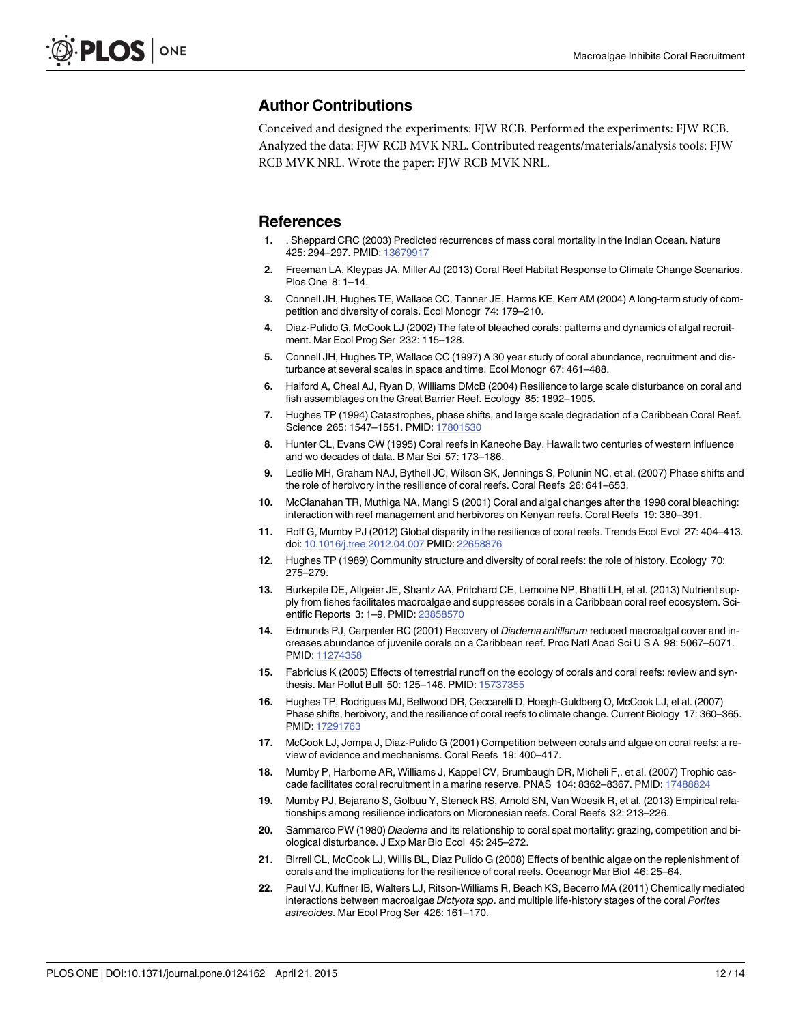## <span id="page-11-0"></span>Author Contributions

Conceived and designed the experiments: FJW RCB. Performed the experiments: FJW RCB. Analyzed the data: FJW RCB MVK NRL. Contributed reagents/materials/analysis tools: FJW RCB MVK NRL. Wrote the paper: FJW RCB MVK NRL.

#### References

- [1.](#page-0-0) . Sheppard CRC (2003) Predicted recurrences of mass coral mortality in the Indian Ocean. Nature 425: 294–297. PMID: [13679917](http://www.ncbi.nlm.nih.gov/pubmed/13679917)
- [2.](#page-0-0) Freeman LA, Kleypas JA, Miller AJ (2013) Coral Reef Habitat Response to Climate Change Scenarios. Plos One 8: 1–14.
- [3.](#page-0-0) Connell JH, Hughes TE, Wallace CC, Tanner JE, Harms KE, Kerr AM (2004) A long-term study of competition and diversity of corals. Ecol Monogr 74: 179–210.
- [4.](#page-0-0) Diaz-Pulido G, McCook LJ (2002) The fate of bleached corals: patterns and dynamics of algal recruitment. Mar Ecol Prog Ser 232: 115–128.
- [5.](#page-0-0) Connell JH, Hughes TP, Wallace CC (1997) A 30 year study of coral abundance, recruitment and disturbance at several scales in space and time. Ecol Monogr 67: 461–488.
- [6.](#page-0-0) Halford A, Cheal AJ, Ryan D, Williams DMcB (2004) Resilience to large scale disturbance on coral and fish assemblages on the Great Barrier Reef. Ecology 85: 1892–1905.
- [7.](#page-1-0) Hughes TP (1994) Catastrophes, phase shifts, and large scale degradation of a Caribbean Coral Reef. Science 265: 1547–1551. PMID: [17801530](http://www.ncbi.nlm.nih.gov/pubmed/17801530)
- 8. Hunter CL, Evans CW (1995) Coral reefs in Kaneohe Bay, Hawaii: two centuries of western influence and wo decades of data. B Mar Sci 57: 173–186.
- 9. Ledlie MH, Graham NAJ, Bythell JC, Wilson SK, Jennings S, Polunin NC, et al. (2007) Phase shifts and the role of herbivory in the resilience of coral reefs. Coral Reefs 26: 641–653.
- 10. McClanahan TR, Muthiga NA, Mangi S (2001) Coral and algal changes after the 1998 coral bleaching: interaction with reef management and herbivores on Kenyan reefs. Coral Reefs 19: 380–391.
- [11.](#page-1-0) Roff G, Mumby PJ (2012) Global disparity in the resilience of coral reefs. Trends Ecol Evol 27: 404–413. doi: [10.1016/j.tree.2012.04.007](http://dx.doi.org/10.1016/j.tree.2012.04.007) PMID: [22658876](http://www.ncbi.nlm.nih.gov/pubmed/22658876)
- [12.](#page-1-0) Hughes TP (1989) Community structure and diversity of coral reefs: the role of history. Ecology 70: 275–279.
- [13.](#page-1-0) Burkepile DE, Allgeier JE, Shantz AA, Pritchard CE, Lemoine NP, Bhatti LH, et al. (2013) Nutrient supply from fishes facilitates macroalgae and suppresses corals in a Caribbean coral reef ecosystem. Scientific Reports 3: 1–9. PMID: [23858570](http://www.ncbi.nlm.nih.gov/pubmed/23858570)
- 14. Edmunds PJ, Carpenter RC (2001) Recovery of Diadema antillarum reduced macroalgal cover and increases abundance of juvenile corals on a Caribbean reef. Proc Natl Acad Sci U S A 98: 5067–5071. PMID: [11274358](http://www.ncbi.nlm.nih.gov/pubmed/11274358)
- 15. Fabricius K (2005) Effects of terrestrial runoff on the ecology of corals and coral reefs: review and synthesis. Mar Pollut Bull 50: 125–146. PMID: [15737355](http://www.ncbi.nlm.nih.gov/pubmed/15737355)
- [16.](#page-9-0) Hughes TP, Rodrigues MJ, Bellwood DR, Ceccarelli D, Hoegh-Guldberg O, McCook LJ, et al. (2007) Phase shifts, herbivory, and the resilience of coral reefs to climate change. Current Biology 17: 360–365. PMID: [17291763](http://www.ncbi.nlm.nih.gov/pubmed/17291763)
- [17.](#page-1-0) McCook LJ, Jompa J, Diaz-Pulido G (2001) Competition between corals and algae on coral reefs: a review of evidence and mechanisms. Coral Reefs 19: 400–417.
- 18. Mumby P, Harborne AR, Williams J, Kappel CV, Brumbaugh DR, Micheli F,. et al. (2007) Trophic cascade facilitates coral recruitment in a marine reserve. PNAS 104: 8362–8367. PMID: [17488824](http://www.ncbi.nlm.nih.gov/pubmed/17488824)
- 19. Mumby PJ, Bejarano S, Golbuu Y, Steneck RS, Arnold SN, Van Woesik R, et al. (2013) Empirical relationships among resilience indicators on Micronesian reefs. Coral Reefs 32: 213–226.
- [20.](#page-1-0) Sammarco PW (1980) Diadema and its relationship to coral spat mortality: grazing, competition and biological disturbance. J Exp Mar Bio Ecol 45: 245–272.
- [21.](#page-1-0) Birrell CL, McCook LJ, Willis BL, Diaz Pulido G (2008) Effects of benthic algae on the replenishment of corals and the implications for the resilience of coral reefs. Oceanogr Mar Biol 46: 25–64.
- [22.](#page-1-0) Paul VJ, Kuffner IB, Walters LJ, Ritson-Williams R, Beach KS, Becerro MA (2011) Chemically mediated interactions between macroalgae Dictyota spp. and multiple life-history stages of the coral Porites astreoides. Mar Ecol Prog Ser 426: 161–170.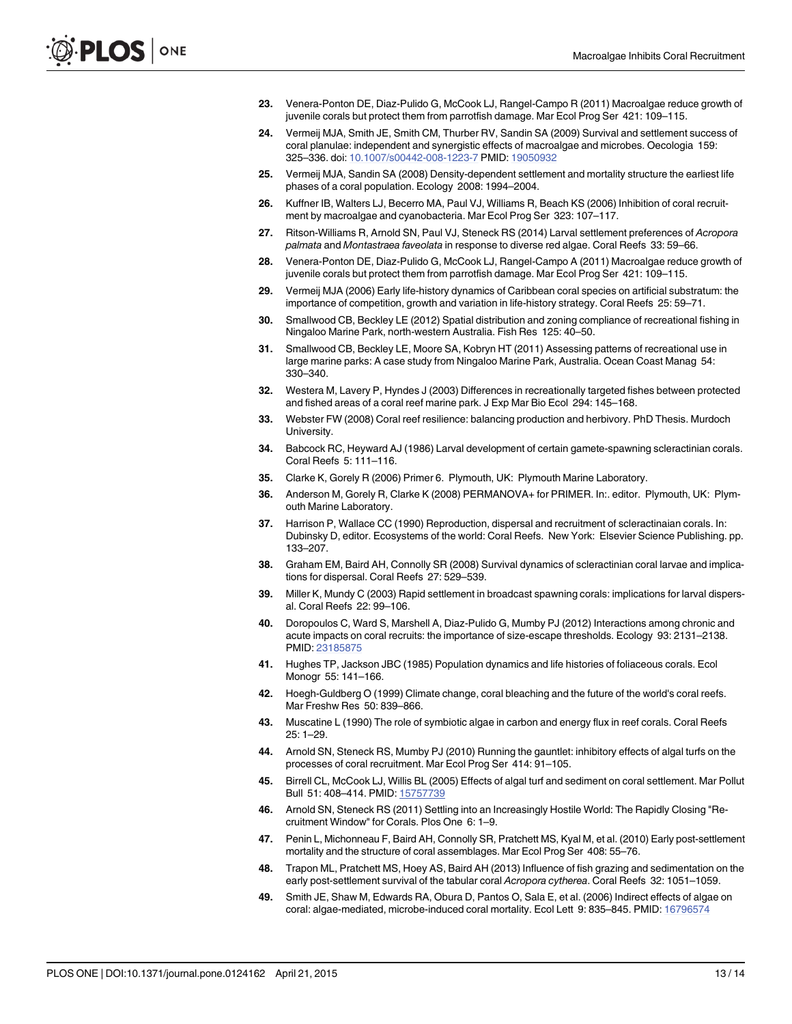- <span id="page-12-0"></span>23. Venera-Ponton DE, Diaz-Pulido G, McCook LJ, Rangel-Campo R (2011) Macroalgae reduce growth of juvenile corals but protect them from parrotfish damage. Mar Ecol Prog Ser 421: 109–115.
- [24.](#page-1-0) Vermeij MJA, Smith JE, Smith CM, Thurber RV, Sandin SA (2009) Survival and settlement success of coral planulae: independent and synergistic effects of macroalgae and microbes. Oecologia 159: 325–336. doi: [10.1007/s00442-008-1223-7](http://dx.doi.org/10.1007/s00442-008-1223-7) PMID: [19050932](http://www.ncbi.nlm.nih.gov/pubmed/19050932)
- [25.](#page-1-0) Vermeij MJA, Sandin SA (2008) Density-dependent settlement and mortality structure the earliest life phases of a coral population. Ecology 2008: 1994–2004.
- [26.](#page-1-0) Kuffner IB, Walters LJ, Becerro MA, Paul VJ, Williams R, Beach KS (2006) Inhibition of coral recruitment by macroalgae and cyanobacteria. Mar Ecol Prog Ser 323: 107–117.
- [27.](#page-9-0) Ritson-Williams R, Arnold SN, Paul VJ, Steneck RS (2014) Larval settlement preferences of Acropora palmata and Montastraea faveolata in response to diverse red algae. Coral Reefs 33: 59–66.
- 28. Venera-Ponton DE, Diaz-Pulido G, McCook LJ, Rangel-Campo A (2011) Macroalgae reduce growth of juvenile corals but protect them from parrotfish damage. Mar Ecol Prog Ser 421: 109–115.
- [29.](#page-1-0) Vermeij MJA (2006) Early life-history dynamics of Caribbean coral species on artificial substratum: the importance of competition, growth and variation in life-history strategy. Coral Reefs 25: 59–71.
- [30.](#page-1-0) Smallwood CB, Beckley LE (2012) Spatial distribution and zoning compliance of recreational fishing in Ningaloo Marine Park, north-western Australia. Fish Res 125: 40–50.
- [31.](#page-1-0) Smallwood CB, Beckley LE, Moore SA, Kobryn HT (2011) Assessing patterns of recreational use in large marine parks: A case study from Ningaloo Marine Park, Australia. Ocean Coast Manag 54: 330–340.
- [32.](#page-1-0) Westera M, Lavery P, Hyndes J (2003) Differences in recreationally targeted fishes between protected and fished areas of a coral reef marine park. J Exp Mar Bio Ecol 294: 145–168.
- [33.](#page-2-0) Webster FW (2008) Coral reef resilience: balancing production and herbivory. PhD Thesis. Murdoch University.
- [34.](#page-2-0) Babcock RC, Heyward AJ (1986) Larval development of certain gamete-spawning scleractinian corals. Coral Reefs 5: 111–116.
- [35.](#page-3-0) Clarke K, Gorely R (2006) Primer 6. Plymouth, UK: Plymouth Marine Laboratory.
- [36.](#page-3-0) Anderson M, Gorely R, Clarke K (2008) PERMANOVA+ for PRIMER. In:. editor. Plymouth, UK: Plymouth Marine Laboratory.
- [37.](#page-7-0) Harrison P, Wallace CC (1990) Reproduction, dispersal and recruitment of scleractinaian corals. In: Dubinsky D, editor. Ecosystems of the world: Coral Reefs. New York: Elsevier Science Publishing. pp. 133–207.
- [38.](#page-8-0) Graham EM, Baird AH, Connolly SR (2008) Survival dynamics of scleractinian coral larvae and implications for dispersal. Coral Reefs 27: 529–539.
- [39.](#page-8-0) Miller K, Mundy C (2003) Rapid settlement in broadcast spawning corals: implications for larval dispersal. Coral Reefs 22: 99–106.
- [40.](#page-8-0) Doropoulos C, Ward S, Marshell A, Diaz-Pulido G, Mumby PJ (2012) Interactions among chronic and acute impacts on coral recruits: the importance of size-escape thresholds. Ecology 93: 2131–2138. PMID: [23185875](http://www.ncbi.nlm.nih.gov/pubmed/23185875)
- [41.](#page-8-0) Hughes TP, Jackson JBC (1985) Population dynamics and life histories of foliaceous corals. Ecol Monogr 55: 141–166.
- [42.](#page-8-0) Hoegh-Guldberg O (1999) Climate change, coral bleaching and the future of the world's coral reefs. Mar Freshw Res 50: 839–866.
- [43.](#page-8-0) Muscatine L (1990) The role of symbiotic algae in carbon and energy flux in reef corals. Coral Reefs 25: 1–29.
- [44.](#page-8-0) Arnold SN, Steneck RS, Mumby PJ (2010) Running the gauntlet: inhibitory effects of algal turfs on the processes of coral recruitment. Mar Ecol Prog Ser 414: 91–105.
- [45.](#page-8-0) Birrell CL, McCook LJ, Willis BL (2005) Effects of algal turf and sediment on coral settlement. Mar Pollut Bull 51: 408–414. PMID: [15757739](http://www.ncbi.nlm.nih.gov/pubmed/15757739)
- [46.](#page-8-0) Arnold SN, Steneck RS (2011) Settling into an Increasingly Hostile World: The Rapidly Closing "Recruitment Window" for Corals. Plos One 6: 1–9.
- [47.](#page-9-0) Penin L, Michonneau F, Baird AH, Connolly SR, Pratchett MS, Kyal M, et al. (2010) Early post-settlement mortality and the structure of coral assemblages. Mar Ecol Prog Ser 408: 55–76.
- [48.](#page-9-0) Trapon ML, Pratchett MS, Hoey AS, Baird AH (2013) Influence of fish grazing and sedimentation on the early post-settlement survival of the tabular coral Acropora cytherea. Coral Reefs 32: 1051–1059.
- [49.](#page-9-0) Smith JE, Shaw M, Edwards RA, Obura D, Pantos O, Sala E, et al. (2006) Indirect effects of algae on coral: algae-mediated, microbe-induced coral mortality. Ecol Lett 9: 835-845. PMID: [16796574](http://www.ncbi.nlm.nih.gov/pubmed/16796574)